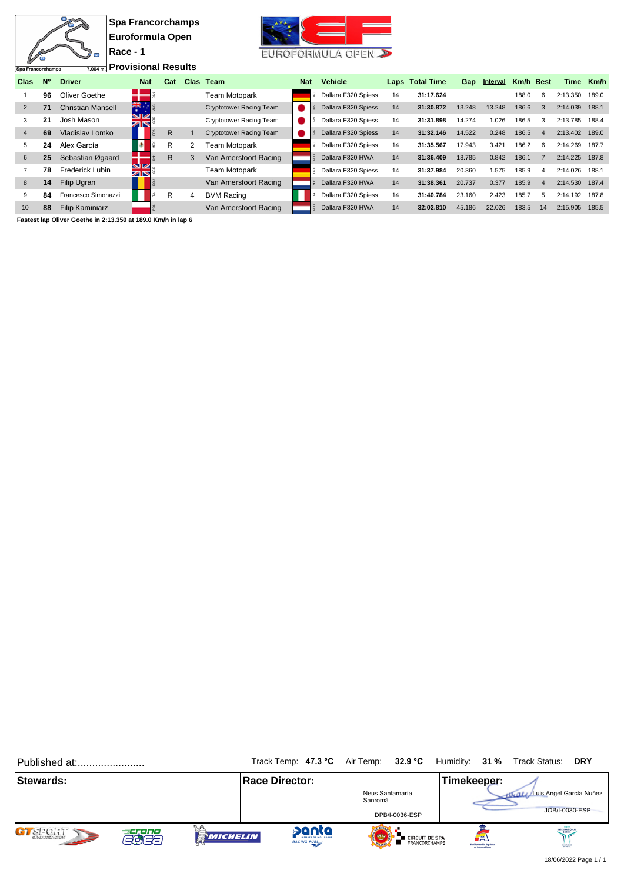

**Provisional Results**

| Clas            | $N^{\circ}$ | <b>Driver</b>            | <b>Nat</b> | Cat |   | Clas Team                      | <b>Nat</b> | <b>Vehicle</b>      |    | Laps Total Time | Gap    | Interval | Km/h  | <b>Best</b>    | Time     | Km/h  |
|-----------------|-------------|--------------------------|------------|-----|---|--------------------------------|------------|---------------------|----|-----------------|--------|----------|-------|----------------|----------|-------|
|                 | 96          | Oliver Goethe            |            |     |   | <b>Team Motopark</b>           |            | Dallara F320 Spiess | 14 | 31:17.624       |        |          | 188.0 | 6              | 2:13.350 | 189.0 |
|                 | 71          | <b>Christian Mansell</b> | ※.         |     |   | <b>Cryptotower Racing Team</b> |            | Dallara F320 Spiess | 14 | 31:30.872       | 13.248 | 13.248   | 186.6 | 3              | 2:14.039 | 188.1 |
| 3               | 21          | Josh Mason               | V<br>বাষ   |     |   | Cryptotower Racing Team        |            | Dallara F320 Spiess | 14 | 31:31.898       | 14.274 | 1.026    | 186.5 | з              | 2:13.785 | 188.4 |
| 4               | 69          | Vladislav Lomko          |            | R   |   | <b>Cryptotower Racing Team</b> |            | Dallara F320 Spiess | 14 | 31:32.146       | 14.522 | 0.248    | 186.5 | $\overline{a}$ | 2:13.402 | 189.0 |
| 5               | 24          | Alex García              |            | R   | 2 | Team Motopark                  |            | Dallara F320 Spiess | 14 | 31:35.567       | 17.943 | 3.421    | 186.2 | 6              | 2:14.269 | 187.7 |
| 6               | 25          | Sebastian Øgaard         |            | R   | 3 | Van Amersfoort Racing          |            | Dallara F320 HWA    | 14 | 31:36.409       | 18.785 | 0.842    | 186.1 |                | 2:14.225 | 187.8 |
|                 | 78          | Frederick Lubin          | V<br>বাষ   |     |   | Team Motopark                  |            | Dallara F320 Spiess | 14 | 31:37.984       | 20.360 | 1.575    | 185.9 | 4              | 2:14.026 | 188.1 |
| 8               | 14          | Filip Ugran              |            |     |   | Van Amersfoort Racing          |            | Dallara F320 HWA    | 14 | 31:38.361       | 20.737 | 0.377    | 185.9 | $\overline{4}$ | 2:14.530 | 187.4 |
| 9               | 84          | Francesco Simonazzi      |            | R   | 4 | <b>BVM Racing</b>              |            | Dallara F320 Spiess | 14 | 31:40.784       | 23.160 | 2.423    | 185.7 | 5              | 2:14.192 | 187.8 |
| 10 <sup>1</sup> | 88          | <b>Filip Kaminiarz</b>   |            |     |   | Van Amersfoort Racing          |            | Dallara F320 HWA    | 14 | 32:02.810       | 45.186 | 22.026   | 183.5 | 14             | 2:15.905 | 185.5 |

**Fastest lap Oliver Goethe in 2:13.350 at 189.0 Km/h in lap 6**

21

Spa Francorchamps

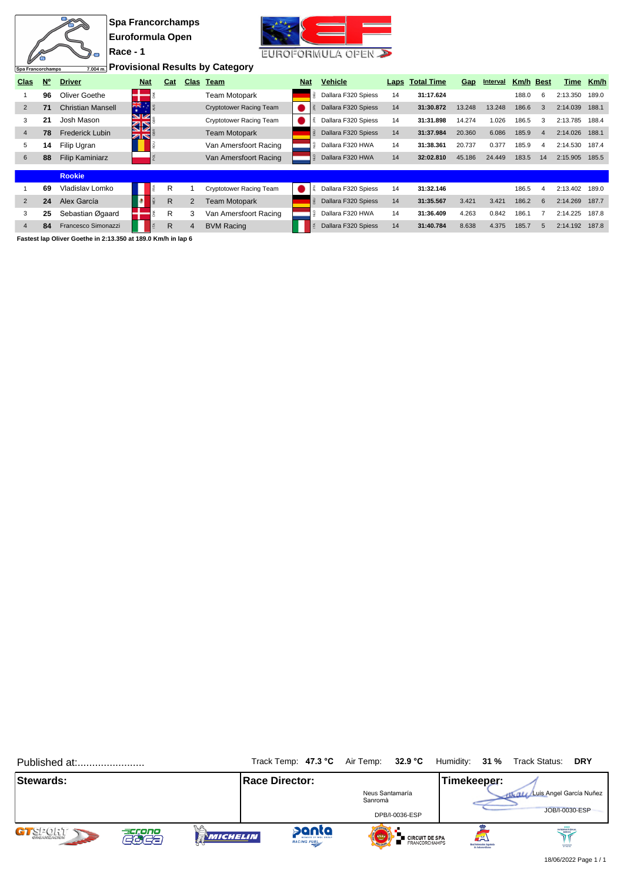| Spa Francorchamps |             | $A - 2$<br>7.004 m       | Race - 1 | <b>Spa Francorchamps</b><br>Euroformula Open |              |                | <b>Provisional Results by Category</b> |            | EUROFORMULA OPEN           |      |                   |            |          |       |                |          |       |
|-------------------|-------------|--------------------------|----------|----------------------------------------------|--------------|----------------|----------------------------------------|------------|----------------------------|------|-------------------|------------|----------|-------|----------------|----------|-------|
| Clas              | $N^{\circ}$ | <b>Driver</b>            |          | <b>Nat</b>                                   | Cat          |                | Clas Team                              | <b>Nat</b> | <b>Vehicle</b>             | Laps | <b>Total Time</b> | <b>Gap</b> | Interval |       | Km/h Best      | Time     | Km/h  |
|                   | 96          | Oliver Goethe            |          |                                              |              |                | <b>Team Motopark</b>                   |            | R Dallara F320 Spiess      | 14   | 31:17.624         |            |          | 188.0 | 6              | 2:13.350 | 189.0 |
| $\overline{2}$    | 71          | <b>Christian Mansell</b> |          | *ঁ                                           |              |                | <b>Cryptotower Racing Team</b>         |            | Dallara F320 Spiess        | 14   | 31:30.872         | 13.248     | 13.248   | 186.6 | 3              | 2:14.039 | 188.1 |
| 3                 | 21          | Josh Mason               |          | <u>nis</u><br>Sis                            |              |                | Cryptotower Racing Team                |            | Dallara F320 Spiess        | 14   | 31:31.898         | 14.274     | 1.026    | 186.5 | 3              | 2:13.785 | 188.4 |
| $\overline{4}$    | 78          | <b>Frederick Lubin</b>   |          |                                              |              |                | <b>Team Motopark</b>                   |            | Report Dallara F320 Spiess | 14   | 31:37.984         | 20.360     | 6.086    | 185.9 | $\overline{4}$ | 2:14.026 | 188.1 |
| 5                 | 14          | Filip Ugran              |          |                                              |              |                | Van Amersfoort Racing                  |            | Dallara F320 HWA           | 14   | 31:38.361         | 20.737     | 0.377    | 185.9 | 4              | 2:14.530 | 187.4 |
| 6                 | 88          | <b>Filip Kaminiarz</b>   |          |                                              |              |                | Van Amersfoort Racing                  |            | Dallara F320 HWA           | 14   | 32:02.810         | 45.186     | 24.449   | 183.5 | 14             | 2:15.905 | 185.5 |
|                   |             | <b>Rookie</b>            |          |                                              |              |                |                                        |            |                            |      |                   |            |          |       |                |          |       |
|                   | 69          | Vladislav Lomko          |          |                                              | R            |                | Cryptotower Racing Team                |            | Dallara F320 Spiess        | 14   | 31:32.146         |            |          | 186.5 | 4              | 2:13.402 | 189.0 |
| 2                 | 24          | Alex García              |          |                                              | R            | $\overline{2}$ | Team Motopark                          |            | R Dallara F320 Spiess      | 14   | 31:35.567         | 3.421      | 3.421    | 186.2 | 6              | 2:14.269 | 187.7 |
| 3                 | 25          | Sebastian Øgaard         |          |                                              | R            | 3              | Van Amersfoort Racing                  |            | Dallara F320 HWA           | 14   | 31:36.409         | 4.263      | 0.842    | 186.1 |                | 2:14.225 | 187.8 |
| 4                 | 84          | Francesco Simonazzi      |          |                                              | $\mathsf{R}$ | 4              | <b>BVM Racing</b>                      |            | Dallara F320 Spiess        | 14   | 31:40.784         | 8.638      | 4.375    | 185.7 | $\overline{5}$ | 2:14.192 | 187.8 |

**Fastest lap Oliver Goethe in 2:13.350 at 189.0 Km/h in lap 6**

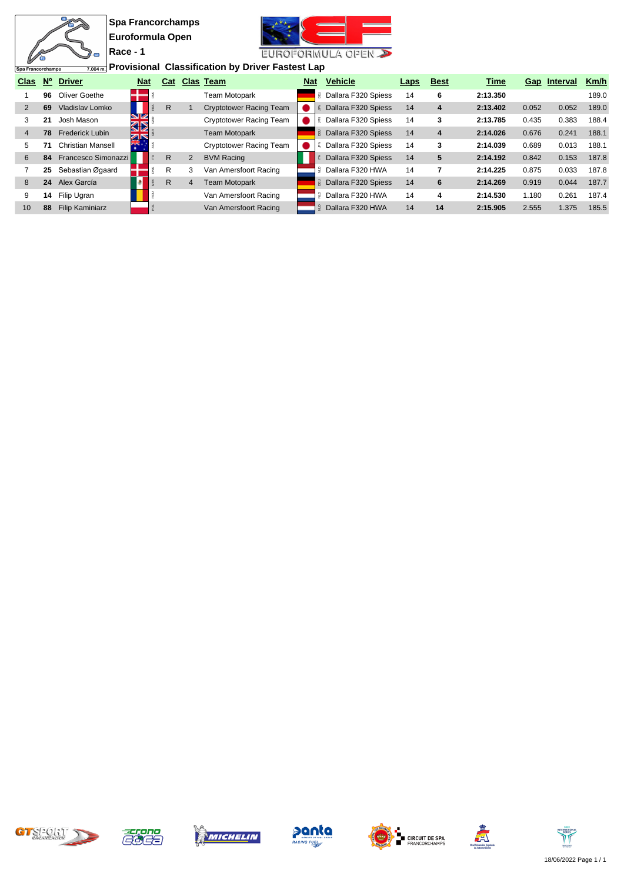$\frac{m}{m}$ **Spa Francorchamps Euroformula Open Race - 1**  $\overline{2}$ 



**Provisional Classification by Driver Fastest Lap**

| Spa Francorchamps |             |                          |            |     |                | $7.004\,\mathrm{m}$ II TUVISIUNIAI UIASSIIIUAIUNI DY DITYUI TASLUST LAD |     |                     |      |             |             |       |              |       |
|-------------------|-------------|--------------------------|------------|-----|----------------|-------------------------------------------------------------------------|-----|---------------------|------|-------------|-------------|-------|--------------|-------|
| <b>Clas</b>       | $N^{\circ}$ | <b>Driver</b>            | <b>Nat</b> | Cat |                | <b>Clas Team</b>                                                        | Nat | <b>Vehicle</b>      | Laps | <b>Best</b> | <u>Time</u> |       | Gap Interval | Km/h  |
|                   | 96          | Oliver Goethe            |            |     |                | Team Motopark                                                           |     | Dallara F320 Spiess | 14   | 6           | 2:13.350    |       |              | 189.0 |
| 2                 | 69          | Vladislav Lomko          |            | R.  |                | <b>Cryptotower Racing Team</b>                                          |     | Dallara F320 Spiess | 14   | 4           | 2:13.402    | 0.052 | 0.052        | 189.0 |
| 3                 | 21          | Josh Mason               | VK<br>ସ⊠   |     |                | <b>Cryptotower Racing Team</b>                                          |     | Dallara F320 Spiess | 14   | 3           | 2:13.785    | 0.435 | 0.383        | 188.4 |
| $\overline{4}$    | 78          | Frederick Lubin          | 烈          |     |                | <b>Team Motopark</b>                                                    |     | Dallara F320 Spiess | 14   | 4           | 2:14.026    | 0.676 | 0.241        | 188.1 |
| 5                 |             | <b>Christian Mansell</b> |            |     |                | <b>Cryptotower Racing Team</b>                                          |     | Dallara F320 Spiess | 14   | 3           | 2:14.039    | 0.689 | 0.013        | 188.1 |
| 6                 | 84          | Francesco Simonazzi      |            | R.  | $\overline{2}$ | <b>BVM Racing</b>                                                       |     | Dallara F320 Spiess | 14   | 5           | 2:14.192    | 0.842 | 0.153        | 187.8 |
|                   | 25          | Sebastian Øgaard         |            | R   | 3              | Van Amersfoort Racing                                                   |     | Dallara F320 HWA    | 14   |             | 2:14.225    | 0.875 | 0.033        | 187.8 |
| 8                 | 24          | Alex García              |            | R.  | 4              | Team Motopark                                                           |     | Dallara F320 Spiess | 14   | 6           | 2:14.269    | 0.919 | 0.044        | 187.7 |
| 9                 | 14          | Filip Ugran              |            |     |                | Van Amersfoort Racing                                                   |     | Dallara F320 HWA    | 14   | 4           | 2:14.530    | 1.180 | 0.261        | 187.4 |
| 10                | 88          | <b>Filip Kaminiarz</b>   |            |     |                | Van Amersfoort Racing                                                   |     | Dallara F320 HWA    | 14   | 14          | 2:15.905    | 2.555 | 1.375        | 185.5 |
|                   |             |                          |            |     |                |                                                                         |     |                     |      |             |             |       |              |       |













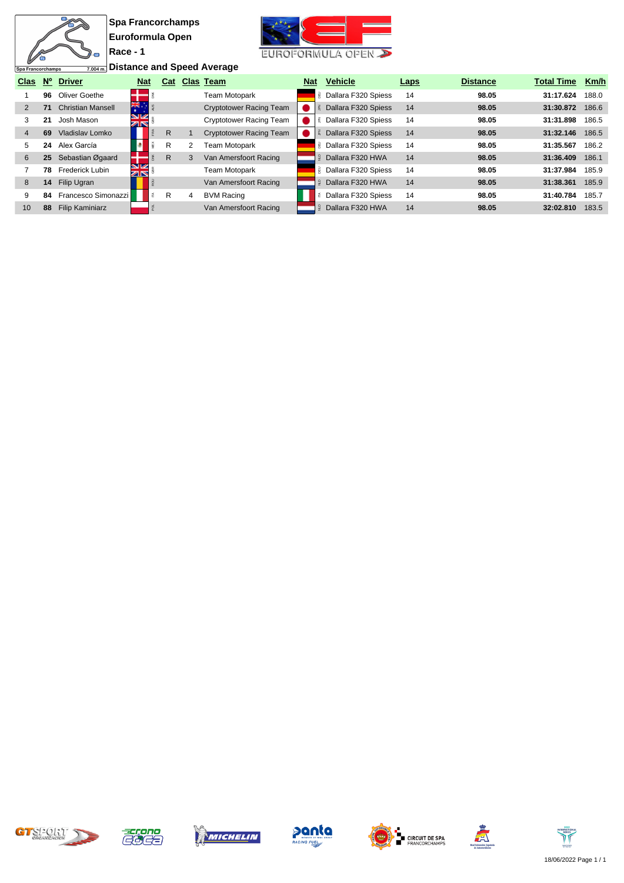$\overline{\mathbf{u}}$ 衙

Spa Francorchamps

21



**<u>7.004m.</u>** Distance and Speed Average

| Clas           | $N^{\circ}$ | <b>Driver</b>            | <b>Nat</b>         | Cat     |   | Clas Team                      | <b>Nat</b> | <b>Vehicle</b>           | <b>Laps</b> | <b>Distance</b> | <b>Total Time</b> | Km/h  |
|----------------|-------------|--------------------------|--------------------|---------|---|--------------------------------|------------|--------------------------|-------------|-----------------|-------------------|-------|
|                | 96          | Oliver Goethe            |                    |         |   | Team Motopark                  |            | R Dallara F320 Spiess    | 14          | 98.05           | 31:17.624         | 188.0 |
|                | 71          | <b>Christian Mansell</b> | K<br>$m \approx 1$ |         |   | <b>Cryptotower Racing Team</b> |            | Dallara F320 Spiess      | 14          | 98.05           | 31:30.872         | 186.6 |
|                | 21          | Josh Mason               | VK<br>বাষ          |         |   | <b>Cryptotower Racing Team</b> |            | Dallara F320 Spiess      | 14          | 98.05           | 31:31.898         | 186.5 |
| $\overline{4}$ | 69          | Vladislav Lomko          |                    | R       |   | <b>Cryptotower Racing Team</b> |            | Dallara F320 Spiess      | 14          | 98.05           | 31:32.146         | 186.5 |
| 5              | 24          | Alex García              |                    | ěΧ<br>R | 2 | <b>Team Motopark</b>           | 쿚          | Dallara F320 Spiess      | 14          | 98.05           | 31:35.567         | 186.2 |
| 6              | 25          | Sebastian Øgaard         |                    | R       | 3 | Van Amersfoort Racing          |            | Dallara F320 HWA         | 14          | 98.05           | 31:36.409         | 186.1 |
|                | 78          | Frederick Lubin          | VK<br>বাষ          |         |   | Team Motopark                  |            | Dallara F320 Spiess<br>롸 | 14          | 98.05           | 31:37.984         | 185.9 |
| 8              | 14          | Filip Ugran              |                    |         |   | Van Amersfoort Racing          |            | Dallara F320 HWA         | 14          | 98.05           | 31:38.361         | 185.9 |
| 9              | 84          | Francesco Simonazzi      |                    | R<br>É  | 4 | <b>BVM Racing</b>              | Ě          | Dallara F320 Spiess      | 14          | 98.05           | 31:40.784         | 185.7 |
| 10             | 88          | <b>Filip Kaminiarz</b>   |                    |         |   | Van Amersfoort Racing          |            | Dallara F320 HWA         | 14          | 98.05           | 32:02.810         | 183.5 |











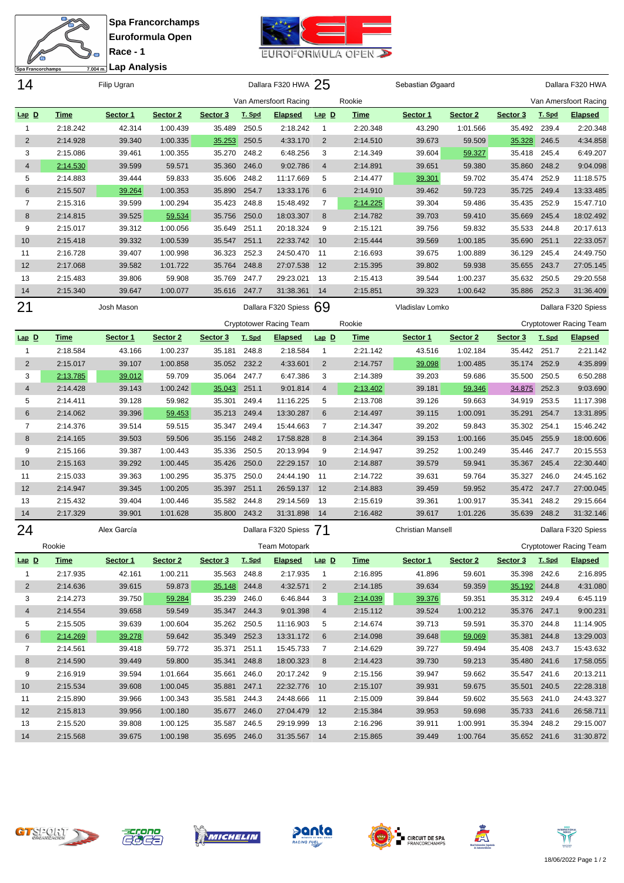**Race - 1 Lap Analysis**

Ж

Spa Francorchamps



| 14              |             | Filip Ugran |          |              |              | Dallara F320 HWA 25            |                |             | Sebastian Øgaard         |          |                 |        | Dallara F320 HWA               |
|-----------------|-------------|-------------|----------|--------------|--------------|--------------------------------|----------------|-------------|--------------------------|----------|-----------------|--------|--------------------------------|
|                 |             |             |          |              |              | Van Amersfoort Racing          |                | Rookie      |                          |          |                 |        | Van Amersfoort Racing          |
| $Lap$ $D$       | <b>Time</b> | Sector 1    | Sector 2 | Sector 3     | T. Spd       | <b>Elapsed</b>                 | $Lap$ $D$      | <b>Time</b> | Sector 1                 | Sector 2 | Sector 3        | T. Spd | <b>Elapsed</b>                 |
| $\mathbf{1}$    | 2:18.242    | 42.314      | 1:00.439 | 35.489       | 250.5        | 2:18.242                       | $\mathbf{1}$   | 2:20.348    | 43.290                   | 1:01.566 | 35.492          | 239.4  | 2:20.348                       |
| $\overline{2}$  | 2:14.928    | 39.340      | 1:00.335 | 35.253       | 250.5        | 4:33.170                       | $\overline{2}$ | 2:14.510    | 39.673                   | 59.509   | 35.328          | 246.5  | 4:34.858                       |
| 3               | 2:15.086    | 39.461      | 1:00.355 | 35.270       | 248.2        | 6:48.256                       | 3              | 2:14.349    | 39.604                   | 59.327   | 35.418          | 245.4  | 6:49.207                       |
| 4               | 2:14.530    | 39.599      | 59.571   | 35.360       | 246.0        | 9:02.786                       | 4              | 2:14.891    | 39.651                   | 59.380   | 35.860          | 248.2  | 9:04.098                       |
| 5               | 2:14.883    | 39.444      | 59.833   | 35.606       | 248.2        | 11:17.669                      | 5              | 2:14.477    | 39.301                   | 59.702   | 35.474          | 252.9  | 11:18.575                      |
| 6               | 2:15.507    | 39.264      | 1:00.353 | 35.890       | 254.7        | 13:33.176                      | 6              | 2:14.910    | 39.462                   | 59.723   | 35.725          | 249.4  | 13:33.485                      |
| $\overline{7}$  | 2:15.316    | 39.599      | 1:00.294 | 35.423       | 248.8        | 15:48.492                      | 7              | 2:14.225    | 39.304                   | 59.486   | 35.435          | 252.9  | 15:47.710                      |
| 8               | 2:14.815    | 39.525      | 59.534   | 35.756       | 250.0        | 18:03.307                      | 8              | 2:14.782    | 39.703                   | 59.410   | 35.669          | 245.4  | 18:02.492                      |
| 9               | 2:15.017    | 39.312      | 1:00.056 | 35.649       | 251.1        | 20:18.324                      | 9              | 2:15.121    | 39.756                   | 59.832   | 35.533          | 244.8  | 20:17.613                      |
| 10              | 2:15.418    | 39.332      | 1:00.539 | 35.547       | 251.1        | 22:33.742                      | 10             | 2:15.444    | 39.569                   | 1:00.185 | 35.690          | 251.1  | 22:33.057                      |
| 11              | 2:16.728    | 39.407      | 1:00.998 | 36.323       | 252.3        | 24:50.470                      | 11             | 2:16.693    | 39.675                   | 1:00.889 | 36.129          | 245.4  | 24:49.750                      |
| 12              | 2:17.068    | 39.582      | 1:01.722 | 35.764       | 248.8        | 27:07.538                      | 12             | 2:15.395    | 39.802                   | 59.938   | 35.655          | 243.7  | 27:05.145                      |
| 13              | 2:15.483    | 39.806      | 59.908   | 35.769       | 247.7        | 29:23.021                      | 13             | 2:15.413    | 39.544                   | 1:00.237 | 35.632          | 250.5  | 29:20.558                      |
| 14              | 2:15.340    | 39.647      | 1:00.077 | 35.616       | 247.7        | 31:38.361                      | 14             | 2:15.851    | 39.323                   | 1:00.642 | 35.886          | 252.3  | 31:36.409                      |
| 21              |             | Josh Mason  |          |              |              | Dallara F320 Spiess 69         |                |             | Vladislav Lomko          |          |                 |        | Dallara F320 Spiess            |
|                 |             |             |          |              |              | <b>Cryptotower Racing Team</b> |                | Rookie      |                          |          |                 |        | <b>Cryptotower Racing Team</b> |
| $Lap$ $D$       | <b>Time</b> | Sector 1    | Sector 2 | Sector 3     | T. Spd       | <b>Elapsed</b>                 | $Lap$ $D$      | <b>Time</b> | Sector 1                 | Sector 2 | Sector 3        | T. Spd | <b>Elapsed</b>                 |
| $\mathbf{1}$    | 2:18.584    | 43.166      | 1:00.237 | 35.181       | 248.8        | 2:18.584                       | 1              | 2:21.142    | 43.516                   | 1:02.184 | 35.442          | 251.7  | 2:21.142                       |
| $\overline{2}$  | 2:15.017    | 39.107      | 1:00.858 | 35.052       | 232.2        | 4:33.601                       | $\overline{2}$ | 2:14.757    | 39.098                   | 1:00.485 | 35.174          | 252.9  | 4:35.899                       |
| 3               | 2:13.785    | 39.012      | 59.709   | 35.064       | 247.7        | 6:47.386                       | 3              | 2:14.389    | 39.203                   | 59.686   | 35.500          | 250.5  | 6:50.288                       |
| $\overline{4}$  | 2:14.428    | 39.143      | 1:00.242 | 35.043       | 251.1        | 9:01.814                       | $\overline{4}$ | 2:13.402    | 39.181                   | 59.346   | 34.875          | 252.3  | 9:03.690                       |
| 5               | 2:14.411    | 39.128      | 59.982   | 35.301       | 249.4        | 11:16.225                      | 5              | 2:13.708    | 39.126                   | 59.663   | 34.919          | 253.5  | 11:17.398                      |
| 6               | 2:14.062    | 39.396      | 59.453   | 35.213       | 249.4        | 13:30.287                      | 6              | 2:14.497    | 39.115                   | 1:00.091 | 35.291          | 254.7  | 13:31.895                      |
| $\overline{7}$  | 2:14.376    | 39.514      | 59.515   | 35.347       | 249.4        | 15:44.663                      | 7              | 2:14.347    | 39.202                   | 59.843   | 35.302          | 254.1  | 15:46.242                      |
| 8               | 2:14.165    | 39.503      | 59.506   | 35.156       | 248.2        | 17:58.828                      | 8              | 2:14.364    | 39.153                   | 1:00.166 | 35.045          | 255.9  | 18:00.606                      |
| 9               | 2:15.166    | 39.387      | 1:00.443 | 35.336       | 250.5        | 20:13.994                      | 9              | 2:14.947    | 39.252                   | 1:00.249 | 35.446          | 247.7  | 20:15.553                      |
| 10              | 2:15.163    | 39.292      | 1:00.445 | 35.426       | 250.0        | 22:29.157                      | 10             | 2:14.887    | 39.579                   | 59.941   | 35.367          | 245.4  | 22:30.440                      |
| 11              | 2:15.033    | 39.363      | 1:00.295 | 35.375       | 250.0        | 24:44.190                      | -11            | 2:14.722    | 39.631                   | 59.764   | 35.327          | 246.0  | 24:45.162                      |
| 12              | 2:14.947    | 39.345      | 1:00.205 | 35.397       | 251.1        | 26:59.137                      | 12             | 2:14.883    | 39.459                   | 59.952   | 35.472          | 247.7  | 27:00.045                      |
| 13              | 2:15.432    | 39.404      | 1:00.446 | 35.582       | 244.8        | 29:14.569                      | -13            | 2:15.619    | 39.361                   | 1:00.917 | 35.341          | 248.2  | 29:15.664                      |
| 14              | 2:17.329    | 39.901      | 1:01.628 | 35.800       | 243.2        | 31:31.898                      | 14             | 2:16.482    | 39.617                   | 1:01.226 | 35.639          | 248.2  | 31:32.146                      |
| 24              |             | Alex García |          |              |              | Dallara F320 Spiess 71         |                |             | <b>Christian Mansell</b> |          |                 |        | Dallara F320 Spiess            |
|                 | Rookie      |             |          |              |              | Team Motopark                  |                |             |                          |          |                 |        | <b>Cryptotower Racing Team</b> |
| $Lap$ $D$       | <b>Time</b> | Sector 1    | Sector 2 | Sector 3     | T. Spd       | <b>Elapsed</b>                 | $Lap$ D        | <u>Time</u> | Sector 1                 | Sector 2 | Sector 3 T. Spd |        | <b>Elapsed</b>                 |
| $\mathbf{1}$    | 2:17.935    | 42.161      | 1:00.211 | 35.563 248.8 |              | 2:17.935                       | $\overline{1}$ | 2:16.895    | 41.896                   | 59.601   | 35.398 242.6    |        | 2:16.895                       |
| $\overline{2}$  | 2:14.636    | 39.615      | 59.873   | 35.148 244.8 |              | 4:32.571                       | $\overline{2}$ | 2:14.185    | 39.634                   | 59.359   | 35.192 244.8    |        | 4:31.080                       |
| 3               | 2:14.273    | 39.750      | 59.284   | 35.239 246.0 |              | 6:46.844                       | 3              | 2:14.039    | 39.376                   | 59.351   | 35.312 249.4    |        | 6:45.119                       |
| $\overline{4}$  | 2:14.554    | 39.658      | 59.549   | 35.347 244.3 |              | 9:01.398                       | $\overline{4}$ | 2:15.112    | 39.524                   | 1:00.212 | 35.376 247.1    |        | 9:00.231                       |
| 5               | 2:15.505    | 39.639      | 1:00.604 | 35.262 250.5 |              | 11:16.903                      | 5              | 2:14.674    | 39.713                   | 59.591   | 35.370 244.8    |        | 11:14.905                      |
| 6               | 2:14.269    | 39.278      | 59.642   | 35.349 252.3 |              | 13:31.172                      | 6              | 2:14.098    | 39.648                   | 59.069   | 35.381 244.8    |        | 13:29.003                      |
| $\overline{7}$  | 2:14.561    | 39.418      | 59.772   | 35.371       | 251.1        | 15:45.733                      | $\overline{7}$ | 2:14.629    | 39.727                   | 59.494   | 35.408 243.7    |        | 15:43.632                      |
| 8               | 2:14.590    | 39.449      | 59.800   | 35.341 248.8 |              | 18:00.323                      | 8              | 2:14.423    | 39.730                   | 59.213   | 35.480 241.6    |        | 17:58.055                      |
| 9               | 2:16.919    | 39.594      | 1:01.664 | 35.661 246.0 |              | 20:17.242                      | 9              | 2:15.156    | 39.947                   | 59.662   | 35.547 241.6    |        | 20:13.211                      |
| 10 <sup>°</sup> | 2:15.534    | 39.608      | 1:00.045 | 35.881 247.1 |              | 22:32.776 10                   |                | 2:15.107    | 39.931                   | 59.675   | 35.501 240.5    |        | 22:28.318                      |
| 11              | 2:15.890    | 39.966      | 1:00.343 | 35.581 244.3 |              | 24:48.666 11                   |                | 2:15.009    | 39.844                   | 59.602   | 35.563 241.0    |        | 24:43.327                      |
| 12              | 2:15.813    | 39.956      | 1:00.180 | 35.677 246.0 |              | 27:04.479 12                   |                | 2:15.384    | 39.953                   | 59.698   | 35.733 241.6    |        | 26:58.711                      |
| 13              | 2:15.520    | 39.808      | 1:00.125 | 35.587 246.5 |              | 29:19.999 13                   |                | 2:16.296    | 39.911                   | 1:00.991 | 35.394 248.2    |        | 29:15.007                      |
| 14              | 2:15.568    | 39.675      | 1:00.198 |              | 35.695 246.0 | 31:35.567 14                   |                | 2:15.865    | 39.449                   | 1:00.764 | 35.652 241.6    |        | 31:30.872                      |













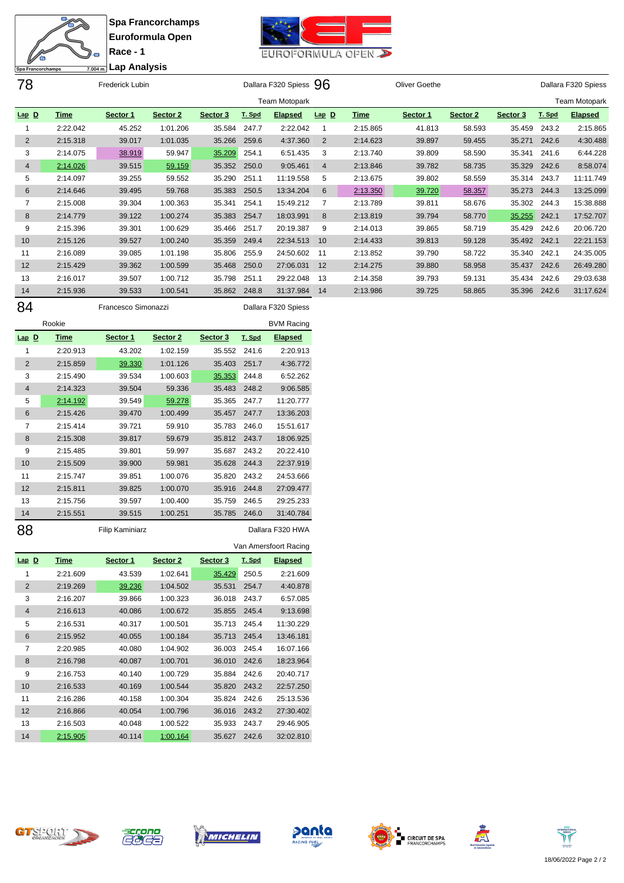**Race - 1**

12)

 $\overline{11}$ 衙



| $\vee$<br>Spa Francorchamps |             | Lap Analysis<br>7.004 m. |          |          |        |                        |           |             |               |          |          |        |                      |
|-----------------------------|-------------|--------------------------|----------|----------|--------|------------------------|-----------|-------------|---------------|----------|----------|--------|----------------------|
| 78                          |             | Frederick Lubin          |          |          |        | Dallara F320 Spiess 96 |           |             | Oliver Goethe |          |          |        | Dallara F320 Spiess  |
|                             |             |                          |          |          |        | <b>Team Motopark</b>   |           |             |               |          |          |        | <b>Team Motopark</b> |
| $Lap$ $D$                   | <b>Time</b> | Sector 1                 | Sector 2 | Sector 3 | T. Spd | <b>Elapsed</b>         | $Lap$ $D$ | <b>Time</b> | Sector 1      | Sector 2 | Sector 3 | T. Spd | <b>Elapsed</b>       |
| 1                           | 2:22.042    | 45.252                   | 1:01.206 | 35.584   | 247.7  | 2:22.042               |           | 2:15.865    | 41.813        | 58.593   | 35.459   | 243.2  | 2:15.865             |
| 2                           | 2:15.318    | 39.017                   | 1:01.035 | 35.266   | 259.6  | 4:37.360               | 2         | 2:14.623    | 39.897        | 59.455   | 35.271   | 242.6  | 4:30.488             |
| 3                           | 2:14.075    | 38.919                   | 59.947   | 35.209   | 254.1  | 6:51.435               | 3         | 2:13.740    | 39.809        | 58.590   | 35.341   | 241.6  | 6:44.228             |
| $\overline{4}$              | 2:14.026    | 39.515                   | 59.159   | 35.352   | 250.0  | 9:05.461               | 4         | 2:13.846    | 39.782        | 58.735   | 35.329   | 242.6  | 8:58.074             |
| 5                           | 2:14.097    | 39.255                   | 59.552   | 35.290   | 251.1  | 11:19.558              | 5         | 2:13.675    | 39.802        | 58.559   | 35.314   | 243.7  | 11:11.749            |
| 6                           | 2:14.646    | 39.495                   | 59.768   | 35.383   | 250.5  | 13:34.204              | 6         | 2:13.350    | 39.720        | 58.357   | 35.273   | 244.3  | 13:25.099            |
| 7                           | 2:15.008    | 39.304                   | 1:00.363 | 35.341   | 254.1  | 15:49.212              | 7         | 2:13.789    | 39.811        | 58.676   | 35.302   | 244.3  | 15:38.888            |
| 8                           | 2:14.779    | 39.122                   | 1:00.274 | 35.383   | 254.7  | 18:03.991              | 8         | 2:13.819    | 39.794        | 58.770   | 35.255   | 242.1  | 17:52.707            |
| 9                           | 2:15.396    | 39.301                   | 1:00.629 | 35.466   | 251.7  | 20:19.387              | 9         | 2:14.013    | 39.865        | 58.719   | 35.429   | 242.6  | 20:06.720            |
| 10                          | 2:15.126    | 39.527                   | 1:00.240 | 35.359   | 249.4  | 22:34.513              | 10        | 2:14.433    | 39.813        | 59.128   | 35.492   | 242.1  | 22:21.153            |
| 11                          | 2:16.089    | 39.085                   | 1:01.198 | 35.806   | 255.9  | 24:50.602              | 11        | 2:13.852    | 39.790        | 58.722   | 35.340   | 242.1  | 24:35.005            |
| 12                          | 2:15.429    | 39.362                   | 1:00.599 | 35.468   | 250.0  | 27:06.031              | 12        | 2:14.275    | 39.880        | 58.958   | 35.437   | 242.6  | 26:49.280            |
| 13                          | 2:16.017    | 39.507                   | 1:00.712 | 35.798   | 251.1  | 29:22.048              | 13        | 2:14.358    | 39.793        | 59.131   | 35.434   | 242.6  | 29:03.638            |
| 14                          | 2:15.936    | 39.533                   | 1:00.541 | 35.862   | 248.8  | 31:37.984              | 14        | 2:13.986    | 39.725        | 58.865   | 35.396   | 242.6  | 31:17.624            |
| 84                          |             | Francesco Simonazzi      |          |          |        | Dallara F320 Spiess    |           |             |               |          |          |        |                      |

|                | Rookie      |          |          |          |        | <b>BVM Racing</b> |
|----------------|-------------|----------|----------|----------|--------|-------------------|
| $Lap$ D        | <b>Time</b> | Sector 1 | Sector 2 | Sector 3 | T. Spd | <b>Elapsed</b>    |
| 1              | 2:20.913    | 43.202   | 1:02.159 | 35.552   | 241.6  | 2:20.913          |
| 2              | 2:15.859    | 39.330   | 1:01.126 | 35.403   | 251.7  | 4:36.772          |
| 3              | 2:15.490    | 39.534   | 1:00.603 | 35.353   | 244.8  | 6:52.262          |
| $\overline{4}$ | 2:14.323    | 39.504   | 59.336   | 35.483   | 248.2  | 9:06.585          |
| 5              | 2:14.192    | 39.549   | 59.278   | 35.365   | 247.7  | 11:20.777         |
| 6              | 2:15.426    | 39.470   | 1:00.499 | 35.457   | 247.7  | 13:36.203         |
| 7              | 2:15.414    | 39.721   | 59.910   | 35.783   | 246.0  | 15:51.617         |
| 8              | 2:15.308    | 39.817   | 59.679   | 35.812   | 243.7  | 18:06.925         |
| 9              | 2:15.485    | 39.801   | 59.997   | 35.687   | 243.2  | 20:22.410         |
| 10             | 2:15.509    | 39.900   | 59.981   | 35.628   | 244.3  | 22:37.919         |
| 11             | 2:15.747    | 39.851   | 1:00.076 | 35.820   | 243.2  | 24:53.666         |
| 12             | 2:15.811    | 39.825   | 1:00.070 | 35.916   | 244.8  | 27:09.477         |
| 13             | 2:15.756    | 39.597   | 1:00.400 | 35.759   | 246.5  | 29:25.233         |
| 14             | 2:15.551    | 39.515   | 1:00.251 | 35.785   | 246.0  | 31:40.784         |

88 Filip Kaminiarz **Dallara F320 HWA** 

|                |             |          |          |          |        | Van Amersfoort Racing |
|----------------|-------------|----------|----------|----------|--------|-----------------------|
| $Lap$ D        | <b>Time</b> | Sector 1 | Sector 2 | Sector 3 | T. Spd | <b>Elapsed</b>        |
| 1              | 2:21.609    | 43.539   | 1:02.641 | 35.429   | 250.5  | 2:21.609              |
| $\overline{2}$ | 2:19.269    | 39.236   | 1:04.502 | 35.531   | 254.7  | 4:40.878              |
| 3              | 2:16.207    | 39.866   | 1:00.323 | 36.018   | 243.7  | 6:57.085              |
| $\overline{4}$ | 2:16.613    | 40.086   | 1:00.672 | 35.855   | 245.4  | 9:13.698              |
| 5              | 2:16.531    | 40.317   | 1:00.501 | 35.713   | 245.4  | 11:30.229             |
| 6              | 2:15.952    | 40.055   | 1:00.184 | 35.713   | 245.4  | 13:46.181             |
| 7              | 2:20.985    | 40.080   | 1:04.902 | 36.003   | 245.4  | 16:07.166             |
| 8              | 2:16.798    | 40.087   | 1:00.701 | 36.010   | 242.6  | 18:23.964             |
| 9              | 2:16.753    | 40.140   | 1:00.729 | 35.884   | 242.6  | 20:40.717             |
| 10             | 2:16.533    | 40.169   | 1:00.544 | 35.820   | 243.2  | 22:57.250             |
| 11             | 2:16.286    | 40.158   | 1:00.304 | 35.824   | 242.6  | 25:13.536             |
| 12             | 2:16.866    | 40.054   | 1:00.796 | 36.016   | 243.2  | 27:30.402             |
| 13             | 2:16.503    | 40.048   | 1:00.522 | 35.933   | 243.7  | 29:46.905             |
| 14             | 2:15.905    | 40.114   | 1:00.164 | 35.627   | 242.6  | 32:02.810             |













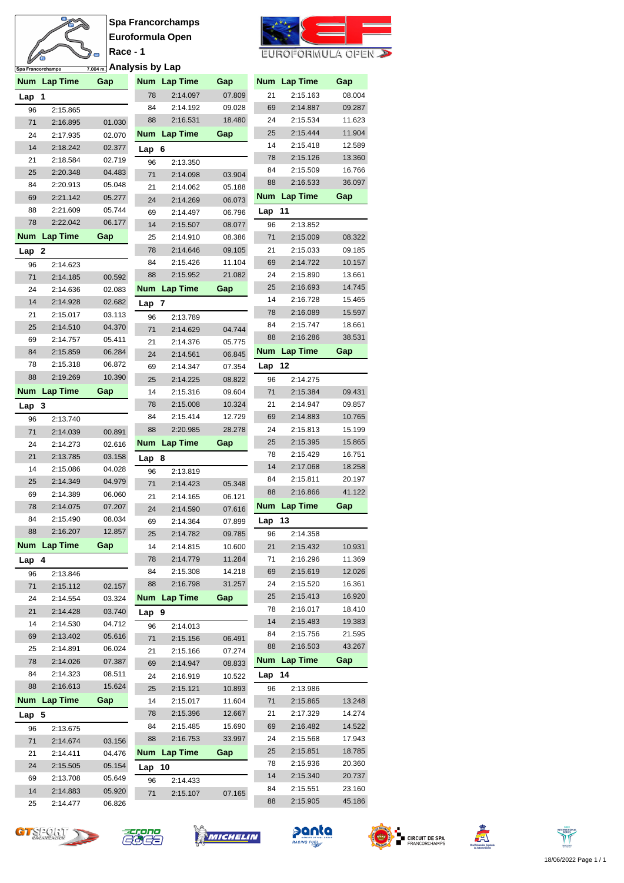## XIX ø  $\prime$ **Analysis by Lap**Spa Francorchamps

**Spa Francorchamps Euroformula Open Race - 1**



## EUROFORMULA OPEN

|            | Num Lap Time         | Gap              |                  | Num Lap Time         | Gap              |            | Num Lap Time         | Gap              |
|------------|----------------------|------------------|------------------|----------------------|------------------|------------|----------------------|------------------|
| Lap        | 1                    |                  | 78               | 2:14.097             | 07.809           | 21         | 2:15.163             | 08.004           |
| 96         | 2:15.865             |                  | 84               | 2:14.192             | 09.028           | 69         | 2:14.887             | 09.287           |
| 71         | 2:16.895             | 01.030           | 88               | 2:16.531             | 18.480           | 24         | 2:15.534             | 11.623           |
| 24         | 2:17.935             | 02.070           | Num              | <b>Lap Time</b>      | Gap              | 25         | 2:15.444             | 11.904           |
| 14         | 2:18.242             | 02.377           | Lap              | - 6                  |                  | 14         | 2:15.418             | 12.589           |
| 21         | 2:18.584             | 02.719           | 96               | 2:13.350             |                  | 78         | 2:15.126             | 13.360           |
| 25         | 2:20.348             | 04.483           | 71               | 2:14.098             | 03.904           | 84         | 2:15.509             | 16.766           |
| 84         | 2:20.913             | 05.048           | 21               | 2:14.062             | 05.188           | 88         | 2:16.533             | 36.097           |
| 69         | 2:21.142             | 05.277           | 24               | 2:14.269             | 06.073           | <b>Num</b> | <b>Lap Time</b>      | Gap              |
| 88         | 2:21.609             | 05.744           | 69               | 2:14.497             | 06.796           | Lap        | 11                   |                  |
| 78         | 2:22.042             | 06.177           | 14               | 2:15.507             | 08.077           | 96         | 2:13.852             |                  |
| <b>Num</b> | <b>Lap Time</b>      | Gap              | 25               | 2:14.910             | 08.386           | 71         | 2:15.009             | 08.322           |
| Lap        | $\mathbf{2}$         |                  | 78               | 2:14.646             | 09.105           | 21         | 2:15.033             | 09.185           |
| 96         | 2:14.623             |                  | 84               | 2:15.426             | 11.104           | 69         | 2:14.722             | 10.157           |
| 71         | 2:14.185             | 00.592           | 88               | 2:15.952             | 21.082           | 24         | 2:15.890             | 13.661           |
| 24         | 2:14.636             | 02.083           | Num              | <b>Lap Time</b>      | Gap              | 25         | 2:16.693             | 14.745           |
| 14         | 2:14.928             | 02.682           | Lap              | 7                    |                  | 14         | 2:16.728             | 15.465           |
| 21         | 2:15.017             | 03.113           | 96               | 2:13.789             |                  | 78         | 2:16.089<br>2:15.747 | 15.597           |
| 25         | 2:14.510             | 04.370           | 71               | 2:14.629             | 04.744           | 84<br>88   | 2:16.286             | 18.661<br>38.531 |
| 69         | 2:14.757             | 05.411           | 21               | 2:14.376             | 05.775           |            |                      |                  |
| 84         | 2:15.859             | 06.284           | 24               | 2:14.561             | 06.845           |            | Num Lap Time         | Gap              |
| 78         | 2:15.318             | 06.872           | 69               | 2:14.347             | 07.354           | Lap        | 12                   |                  |
| 88         | 2:19.269             | 10.390           | 25               | 2:14.225             | 08.822           | 96         | 2:14.275             |                  |
| <b>Num</b> | Lap Time             | Gap              | 14               | 2:15.316             | 09.604           | 71         | 2:15.384             | 09.431           |
| Lap        | -3                   |                  | 78               | 2:15.008             | 10.324           | 21         | 2:14.947             | 09.857           |
| 96         | 2:13.740             |                  | 84               | 2:15.414             | 12.729           | 69         | 2:14.883             | 10.765           |
| 71         | 2:14.039             | 00.891           | 88               | 2:20.985             | 28.278           | 24<br>25   | 2:15.813<br>2:15.395 | 15.199<br>15.865 |
| 24         | 2:14.273             | 02.616           | Num              | <b>Lap Time</b>      | Gap              | 78         | 2:15.429             | 16.751           |
| 21         | 2:13.785             | 03.158           | Lap 8            |                      |                  | 14         | 2:17.068             | 18.258           |
| 14<br>25   | 2:15.086             | 04.028           | 96               | 2:13.819             |                  | 84         | 2:15.811             | 20.197           |
| 69         | 2:14.349<br>2:14.389 | 04.979<br>06.060 | 71               | 2:14.423             | 05.348           | 88         | 2:16.866             | 41.122           |
| 78         | 2:14.075             | 07.207           | 21               | 2:14.165             | 06.121           | <b>Num</b> | <b>Lap Time</b>      | Gap              |
| 84         | 2:15.490             | 08.034           | 24               | 2:14.590             | 07.616           |            | 13                   |                  |
| 88         | 2:16.207             | 12.857           | 69<br>25         | 2:14.364             | 07.899<br>09.785 | Lap<br>96  | 2:14.358             |                  |
|            | Num Lap Time         | Gap              |                  | 2:14.782<br>2:14.815 | 10.600           | 21         | 2:15.432             | 10.931           |
|            |                      |                  | 14<br>78         | 2:14.779             | 11.284           | 71         | 2:16.296             | 11.369           |
| Lap 4      |                      |                  | 84               | 2:15.308             | 14.218           | 69         | 2:15.619             | 12.026           |
| 96<br>71   | 2:13.846<br>2:15.112 | 02.157           | 88               | 2:16.798             | 31.257           | 24         | 2:15.520             | 16.361           |
| 24         | 2:14.554             | 03.324           | Num              | <b>Lap Time</b>      | Gap              | 25         | 2:15.413             | 16.920           |
| 21         | 2:14.428             | 03.740           |                  |                      |                  | 78         | 2:16.017             | 18.410           |
| 14         | 2:14.530             | 04.712           | Lap <sub>9</sub> |                      |                  | 14         | 2:15.483             | 19.383           |
| 69         | 2:13.402             | 05.616           | 96<br>71         | 2:14.013             |                  | 84         | 2:15.756             | 21.595           |
| 25         | 2:14.891             | 06.024           | 21               | 2:15.156<br>2:15.166 | 06.491<br>07.274 | 88         | 2:16.503             | 43.267           |
| 78         | 2:14.026             | 07.387           | 69               | 2:14.947             | 08.833           | Num        | <b>Lap Time</b>      | Gap              |
| 84         | 2:14.323             | 08.511           | 24               | 2:16.919             | 10.522           | Lap 14     |                      |                  |
| 88         | 2:16.613             | 15.624           | 25               | 2:15.121             | 10.893           | 96         | 2:13.986             |                  |
| <b>Num</b> | <b>Lap Time</b>      | Gap              | 14               | 2:15.017             | 11.604           | 71         | 2:15.865             | 13.248           |
| Lap        | 5                    |                  | 78               | 2:15.396             | 12.667           | 21         | 2:17.329             | 14.274           |
| 96         | 2:13.675             |                  | 84               | 2:15.485             | 15.690           | 69         | 2:16.482             | 14.522           |
| 71         | 2:14.674             | 03.156           | 88               | 2:16.753             | 33.997           | 24         | 2:15.568             | 17.943           |
| 21         | 2:14.411             | 04.476           | Num              | <b>Lap Time</b>      | Gap              | 25         | 2:15.851             | 18.785           |
| 24         | 2:15.505             | 05.154           | Lap              | 10                   |                  | 78         | 2:15.936             | 20.360           |
| 69         | 2:13.708             | 05.649           | 96               |                      |                  | 14         | 2:15.340             | 20.737           |
| 14         | 2:14.883             | 05.920           | 71               | 2:14.433<br>2:15.107 | 07.165           | 84         | 2:15.551             | 23.160           |
| 25         | 2:14.477             | 06.826           |                  |                      |                  | 88         | 2:15.905             | 45.186           |
|            |                      |                  |                  |                      |                  |            |                      |                  |













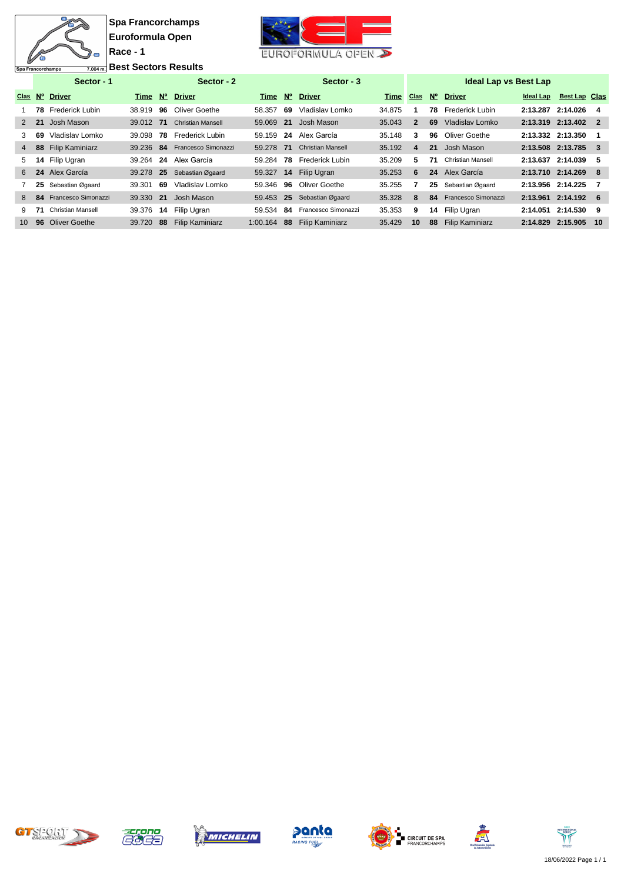$\frac{m}{s}$  $\gg$ 

Spa Francorchamps



**<u>7.004 m.</u>** Best Sectors Results

|                 |    | Sector - 1                |                    |    | Sector - 2               |          |             | Sector $-3$              |        |              |             | <b>Ideal Lap vs Best Lap</b> |                   |                      |                |
|-----------------|----|---------------------------|--------------------|----|--------------------------|----------|-------------|--------------------------|--------|--------------|-------------|------------------------------|-------------------|----------------------|----------------|
|                 |    | Clas Nº Driver            | $Time$ $N^{\circ}$ |    | <b>Driver</b>            | Time     | $N^{\circ}$ | <b>Driver</b>            | Time   | <b>Clas</b>  | $N^{\circ}$ | <b>Driver</b>                | Ideal Lap         | <b>Best Lap Clas</b> |                |
|                 |    | <b>78</b> Frederick Lubin | 38.919             | 96 | Oliver Goethe            | 58.357   | 69          | Vladislav Lomko          | 34.875 |              | 78          | Frederick Lubin              | 2:13.287 2:14.026 |                      | 4              |
| 2               | 21 | Josh Mason                | 39.012 71          |    | <b>Christian Mansell</b> | 59.069   | 21          | Josh Mason               | 35.043 | $\mathbf{2}$ | 69          | Vladislav Lomko              |                   | 2:13.319 2:13.402    | $\overline{2}$ |
| 3               | 69 | Vladislav Lomko           | 39.098             | 78 | Frederick Lubin          | 59.159   | 24          | Alex García              | 35.148 | 3            | 96          | Oliver Goethe                | 2:13.332 2:13.350 |                      |                |
| $\overline{4}$  |    | 88 Filip Kaminiarz        | 39.236 84          |    | Francesco Simonazzi      | 59.278   | 71          | <b>Christian Mansell</b> | 35.192 | 4            | 21          | Josh Mason                   |                   | 2:13.508 2:13.785    | -3             |
| 5.              | 14 | Filip Ugran               | 39.264             | 24 | Alex García              | 59.284   | 78          | Frederick Lubin          | 35.209 | 5            | 71          | <b>Christian Mansell</b>     | 2:13.637 2:14.039 |                      | 5              |
| 6               |    | 24 Alex García            | 39.278 25          |    | Sebastian Øgaard         | 59.327   | 14          | Filip Ugran              | 35.253 | 6            | 24          | Alex García                  |                   | 2:13.710 2:14.269    | -8             |
|                 |    | 25 Sebastian Øgaard       | 39.301             | 69 | Vladislav Lomko          | 59.346   | 96          | Oliver Goethe            | 35.255 |              | 25          | Sebastian Øgaard             | 2:13.956 2:14.225 |                      | 7              |
| 8               |    | 84 Francesco Simonazzi    | 39.330 21          |    | Josh Mason               | 59.453   |             | 25 Sebastian Øgaard      | 35.328 | 8            | 84          | Francesco Simonazzi          |                   | 2:13.961 2:14.192    | - 6            |
| 9.              | 71 | <b>Christian Mansell</b>  | 39.376             | 14 | Filip Ugran              | 59.534   | -84         | Francesco Simonazzi      | 35.353 | 9            | 14          | Filip Ugran                  | 2:14.051          | 2:14.530             | -9             |
| 10 <sup>1</sup> |    | 96 Oliver Goethe          | 39.720 88          |    | <b>Filip Kaminiarz</b>   | 1:00.164 | 88          | <b>Filip Kaminiarz</b>   | 35.429 | 10           | 88          | <b>Filip Kaminiarz</b>       | 2:14.829 2:15.905 |                      | 10             |











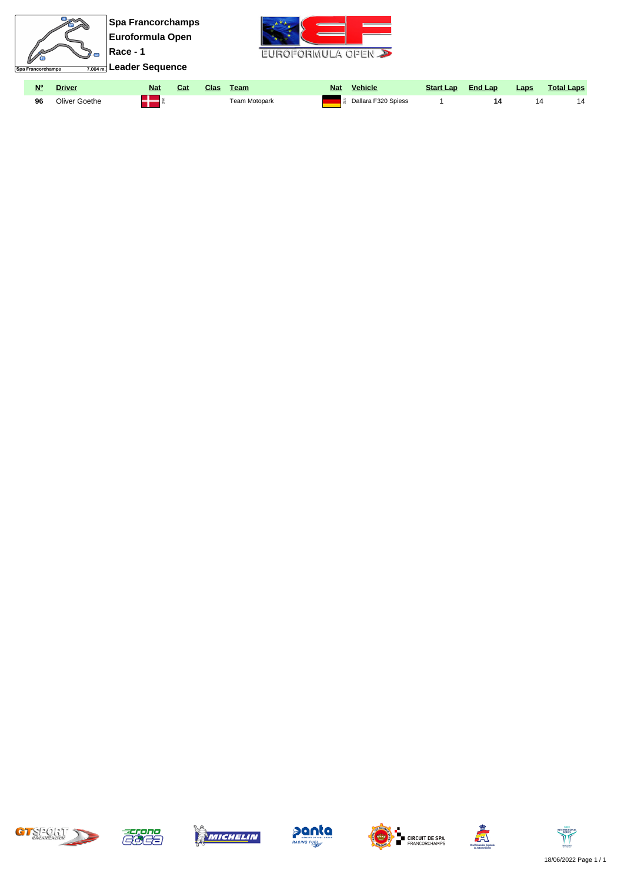| Spa Francorchamps |                      | <b>Spa Francorchamps</b><br><b>Euroformula Open</b><br>∣Race - 1<br>$\frac{1}{7.004 \text{ m}}$ Leader Sequence |            |            |      |               |            | __<br>EUBOEDBMULAOPEW |                  |                |             |                   |    |
|-------------------|----------------------|-----------------------------------------------------------------------------------------------------------------|------------|------------|------|---------------|------------|-----------------------|------------------|----------------|-------------|-------------------|----|
| N°                | <b>Driver</b>        |                                                                                                                 | <b>Nat</b> | <b>Cat</b> | Clas | Team          | <b>Nat</b> | <b>Vehicle</b>        | <b>Start Lap</b> | <b>End Lap</b> | <b>Laps</b> | <b>Total Laps</b> |    |
| 96                | <b>Oliver Goethe</b> |                                                                                                                 |            |            |      | Team Motopark |            | Dallara F320 Spiess   |                  | 14             | 14          |                   | 14 |













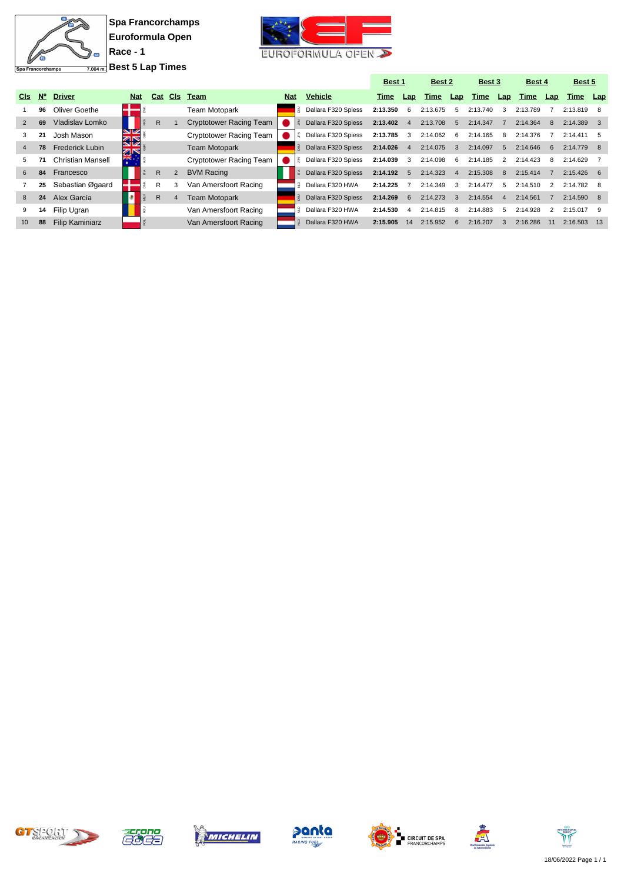

**Spa Francorchamps Euroformula Open Race - 1 Best 5 Lap Times**



|                |             |                          |            |              |                |                                |            |                              | Best 1   |                | Best 2   |                | Best 3   |                | Best 4   |               | Best 5       |     |
|----------------|-------------|--------------------------|------------|--------------|----------------|--------------------------------|------------|------------------------------|----------|----------------|----------|----------------|----------|----------------|----------|---------------|--------------|-----|
| <b>CIs</b>     | $N^{\circ}$ | <b>Driver</b>            | <b>Nat</b> | Cat          | CIs            | Team                           | <b>Nat</b> | <b>Vehicle</b>               | Time     | Lap            | Time     | Lap            | Time     | Lap            | Time     | Lap           | Time         | Lap |
|                | 96          | Oliver Goethe            |            |              |                | <b>Team Motopark</b>           |            | Dallara F320 Spiess          | 2:13.350 | -6             | 2:13.675 | 5              | 2:13.740 | 3              | 2:13.789 |               | 2:13.819     |     |
| 2              | 69          | Vladislav Lomko          |            | $\mathsf{R}$ |                | <b>Cryptotower Racing Team</b> |            | Dallara F320 Spiess          | 2:13.402 | $\overline{4}$ | 2:13.708 | 5              | 2:14.347 |                | 2:14.364 | 8             | 2:14.389     |     |
|                | 21          | Josh Mason               | É<br>ସ⊠    |              |                | Cryptotower Racing Team        |            | Dallara F320 Spiess          | 2:13.785 | 3              | 2:14.062 | 6              | 2:14.165 | -8             | 2:14.376 |               | 2:14.411     |     |
| $\overline{4}$ | 78          | <b>Frederick Lubin</b>   | <b>ZIN</b> |              |                | <b>Team Motopark</b>           |            | Dallara F320 Spiess          | 2:14.026 | $\overline{a}$ | 2:14.075 | 3              | 2:14.097 | 5              | 2:14.646 | 6             | 2:14.779     |     |
| 5.             | 71          | <b>Christian Mansell</b> |            |              |                | Cryptotower Racing Team        |            | Dallara F320 Spiess          | 2:14.039 | 3              | 2:14.098 | 6              | 2:14.185 | 2              | 2:14.423 | 8             | 2:14.629     |     |
| 6              | 84          | Francesco                |            | $\mathsf{R}$ | 2              | <b>BVM Racing</b>              |            | <b>E</b> Dallara F320 Spiess | 2:14.192 | $-5$           | 2:14.323 | $\overline{a}$ | 2:15.308 | -8             | 2:15.414 |               | $2:15.426$ 6 |     |
|                | 25          | Sebastian Øgaard         |            | R            | 3              | Van Amersfoort Racing          |            | Dallara F320 HWA             | 2:14.225 |                | 2:14.349 | 3              | 2:14.477 | 5              | 2:14.510 | $\mathcal{P}$ | 2:14.782 8   |     |
| 8              | 24          | Alex García              |            | $\mathsf{R}$ | $\overline{4}$ | <b>Team Motopark</b>           |            | Dallara F320 Spiess          | 2:14.269 | $6^{\circ}$    | 2:14.273 | $\mathbf{B}$   | 2:14.554 | $\overline{4}$ | 2:14.561 |               | $2:14.590$ 8 |     |
| 9              | 14          | Filip Ugran              |            |              |                | Van Amersfoort Racing          |            | Dallara F320 HWA             | 2:14.530 |                | 2:14.815 | -8             | 2:14.883 | 5              | 2:14.928 | 2             | 2:15.017     |     |
| 10             | 88          | <b>Filip Kaminiarz</b>   |            |              |                | Van Amersfoort Racing          |            | Dallara F320 HWA             | 2:15.905 | 14             | 2:15.952 | 6              | 2:16.207 | 3              | 2:16.286 | 11            | 2:16.503     |     |













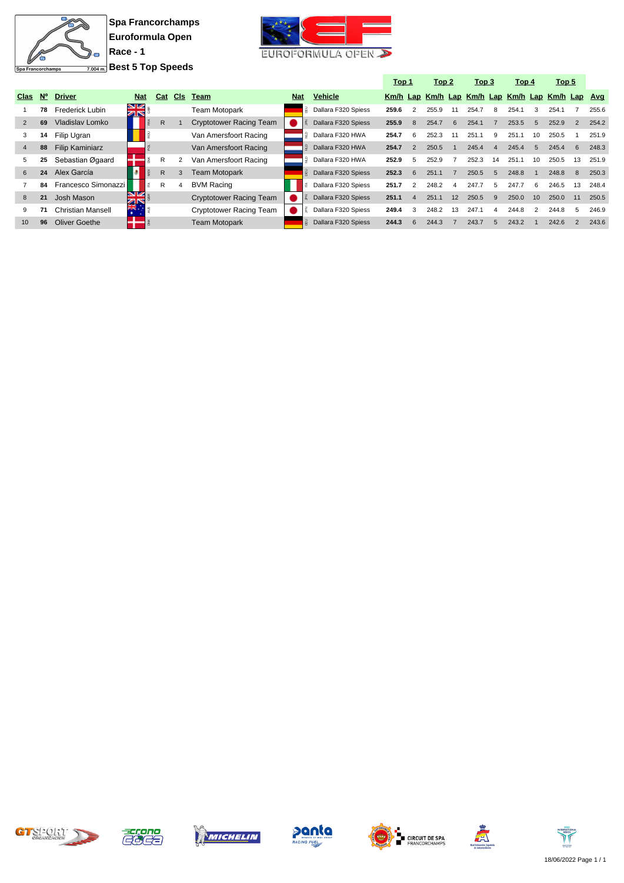

**Spa Francorchamps Euroformula Open Race - 1 Best 5 Top Speeds**



|                |             |                        |                  |     |                 |                                | Top 1<br>Top 2 |                     | Top 3 |                  | Top 4 |                         | Top 5                                            |                |       |    |       |    |       |
|----------------|-------------|------------------------|------------------|-----|-----------------|--------------------------------|----------------|---------------------|-------|------------------|-------|-------------------------|--------------------------------------------------|----------------|-------|----|-------|----|-------|
| Clas           | $N^{\circ}$ | <b>Driver</b>          | <b>Nat</b>       | Cat | C <sub>ls</sub> | Team                           | <b>Nat</b>     | <b>Vehicle</b>      |       |                  |       |                         | Km/h Lap Km/h Lap Km/h Lap Km/h Lap Km/h Lap Avg |                |       |    |       |    |       |
|                | 78          | Frederick Lubin        | VZ<br>ZK         |     |                 | Team Motopark                  |                | Dallara F320 Spiess | 259.6 | $\mathcal{P}$    | 255.9 |                         | 254.7                                            | 8              | 254.1 |    | 254.1 |    | 255.6 |
| 2              | 69          | Vladislav Lomko        |                  | R   |                 | <b>Cryptotower Racing Team</b> |                | Dallara F320 Spiess | 255.9 | 8                | 254.7 | 6                       | 254.1                                            |                | 253.5 | 5  | 252.9 |    | 254.2 |
| 3              | 14          | Filip Ugran            |                  |     |                 | Van Amersfoort Racing          |                | Dallara F320 HWA    | 254.7 | 6                | 252.3 | 11                      | 251.1                                            | 9              | 251.1 | 10 | 250.5 |    | 251.9 |
| $\overline{4}$ | 88          | <b>Filip Kaminiarz</b> |                  |     |                 | Van Amersfoort Racing          |                | Dallara F320 HWA    | 254.7 | $\mathcal{P}$    | 250.5 |                         | 245.4                                            | $\overline{4}$ | 245.4 | 5  | 245.4 | -6 | 248.3 |
| 5              | 25          | Sebastian Øgaard       |                  | R   |                 | Van Amersfoort Racing          |                | Dallara F320 HWA    | 252.9 | 5                | 252.9 |                         | 252.3                                            | 14             | 251.1 | 10 | 250.5 | 13 | 251.9 |
| 6              | 24          | Alex García            |                  | R   | 3               | Team Motopark                  |                | Dallara F320 Spiess | 252.3 | $6 \overline{6}$ | 251.1 |                         | 250.5                                            | 5              | 248.8 |    | 248.8 | 8  | 250.3 |
|                | 84          | Francesco Simonazzi    |                  | R   |                 | <b>BVM Racing</b>              |                | Dallara F320 Spiess | 251.7 | $\mathcal{P}$    | 248.2 | $\overline{\mathbf{4}}$ | 247.7                                            | 5              | 247.7 | 6  | 246.5 | 13 | 248.4 |
| 8              | 21          | Josh Mason             | VK               |     |                 | <b>Cryptotower Racing Team</b> |                | Dallara F320 Spiess | 251.1 | $\overline{4}$   | 251.1 | 12                      | 250.5                                            | $\mathbf{Q}$   | 250.0 | 10 | 250.0 | 11 | 250.5 |
| 9              |             | Christian Mansell      | <b>Kill</b><br>٠ |     |                 | <b>Cryptotower Racing Team</b> |                | Dallara F320 Spiess | 249.4 | 3                | 248.2 | 13                      | 247.1                                            | 4              | 244.8 |    | 244.8 | 5  | 246.9 |
| 10             | 96          | <b>Oliver Goethe</b>   |                  |     |                 | <b>Team Motopark</b>           |                | Dallara F320 Spiess | 244.3 | 6                | 244.3 |                         | 243.7                                            | 5              | 243.2 |    | 242.6 |    | 243.6 |













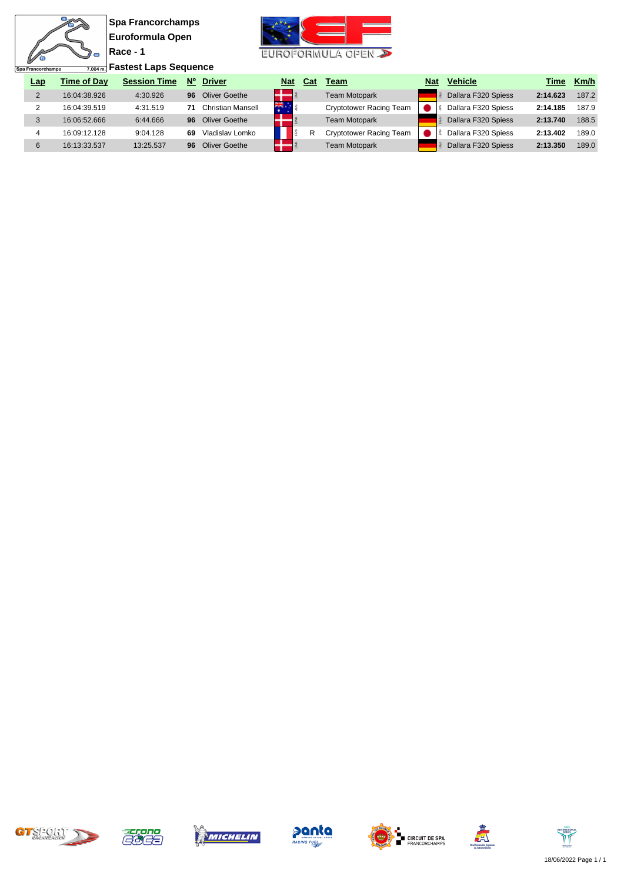$\frac{m}{m}$ N

 $\overline{2}$ 

**Fastest Laps Sequence**



| $\tilde{\phantom{a}}$<br>7.004m. Fastest Laps Sequence<br>Spa Francorchamps |            |                    |                     |             |                   |            |     |                                |            |                     |          |       |
|-----------------------------------------------------------------------------|------------|--------------------|---------------------|-------------|-------------------|------------|-----|--------------------------------|------------|---------------------|----------|-------|
|                                                                             | <u>Lap</u> | <b>Time of Dav</b> | <b>Session Time</b> | $N^{\circ}$ | <b>Driver</b>     | <b>Nat</b> | Cat | Team                           | <b>Nat</b> | <b>Vehicle</b>      | Time     | Km/h  |
|                                                                             |            | 16:04:38.926       | 4:30.926            | 96          | Oliver Goethe     |            |     | <b>Team Motopark</b>           |            | Dallara F320 Spiess | 2:14.623 | 187.2 |
|                                                                             |            | 16:04:39.519       | 4:31.519            |             | Christian Mansell | 清          |     | <b>Cryptotower Racing Team</b> |            | Dallara F320 Spiess | 2:14.185 | 187.9 |
|                                                                             | ◠          | 16:06:52.666       | 6:44.666            | 96          | Oliver Goethe     |            |     | <b>Team Motopark</b>           |            | Dallara F320 Spiess | 2:13.740 | 188.5 |
|                                                                             |            | 16:09:12.128       | 9:04.128            | 69          | Vladislav Lomko   |            |     | <b>Cryptotower Racing Team</b> |            | Dallara F320 Spiess | 2:13.402 | 189.0 |
|                                                                             | 6          | 16:13:33.537       | 13:25.537           | 96.         | Oliver Goethe     |            |     | <b>Team Motopark</b>           |            | Dallara F320 Spiess | 2:13.350 | 189.0 |













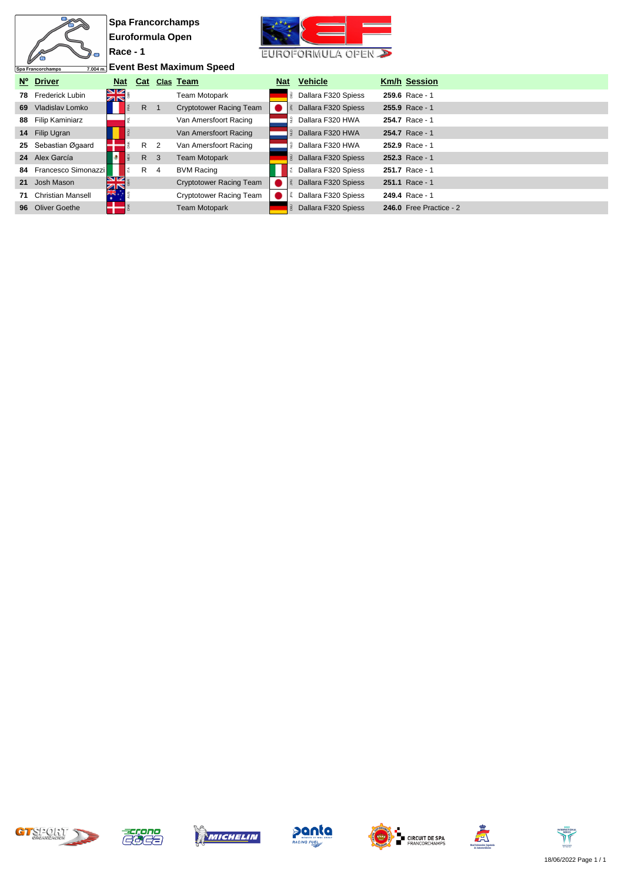|    |                                                           |               |     |                | <b>Spa Francorchamps</b>       |            |                     |  |                         |  |  |  |  |  |  |
|----|-----------------------------------------------------------|---------------|-----|----------------|--------------------------------|------------|---------------------|--|-------------------------|--|--|--|--|--|--|
|    | Euroformula Open                                          |               |     |                |                                |            |                     |  |                         |  |  |  |  |  |  |
|    | Race - 1                                                  |               |     |                |                                |            | EUROFORMULA OPEN    |  |                         |  |  |  |  |  |  |
|    | Event Best Maximum Speed<br>7.004 m.<br>Spa Francorchamps |               |     |                |                                |            |                     |  |                         |  |  |  |  |  |  |
|    | Nº Driver                                                 | <b>Nat</b>    | Cat |                | Clas Team                      | <b>Nat</b> | <b>Vehicle</b>      |  | <b>Km/h Session</b>     |  |  |  |  |  |  |
|    | 78 Frederick Lubin                                        | <b>N</b><br>K |     |                | <b>Team Motopark</b>           | 륯          | Dallara F320 Spiess |  | 259.6 Race - 1          |  |  |  |  |  |  |
| 69 | Vladislav Lomko                                           |               | R.  | $\overline{1}$ | <b>Cryptotower Racing Team</b> |            | Dallara F320 Spiess |  | 255.9 Race - 1          |  |  |  |  |  |  |
|    | 88 Filip Kaminiarz                                        |               |     |                | Van Amersfoort Racing          |            | Dallara F320 HWA    |  | 254.7 Race - 1          |  |  |  |  |  |  |
|    | 14 Filip Ugran                                            |               |     |                | Van Amersfoort Racing          |            | Dallara F320 HWA    |  | 254.7 Race - 1          |  |  |  |  |  |  |
| 25 | Sebastian Øgaard                                          |               | R   | 2              | Van Amersfoort Racing          |            | Dallara F320 HWA    |  | 252.9 Race - 1          |  |  |  |  |  |  |
|    | 24 Alex García                                            |               | R.  | $\mathbf{3}$   | <b>Team Motopark</b>           | 핌          | Dallara F320 Spiess |  | 252.3 Race - 1          |  |  |  |  |  |  |
| 84 | Francesco Simonazzi                                       |               | R.  | $\overline{4}$ | <b>BVM Racing</b>              | Ě          | Dallara F320 Spiess |  | 251.7 Race - 1          |  |  |  |  |  |  |
| 21 | Josh Mason                                                |               |     |                | <b>Cryptotower Racing Team</b> |            | Dallara F320 Spiess |  | 251.1 Race - 1          |  |  |  |  |  |  |
| 71 | <b>Christian Mansell</b>                                  |               |     |                | <b>Cryptotower Racing Team</b> |            | Dallara F320 Spiess |  | 249.4 Race - 1          |  |  |  |  |  |  |
| 96 | <b>Oliver Goethe</b>                                      |               |     |                | <b>Team Motopark</b>           |            | Dallara F320 Spiess |  | 246.0 Free Practice - 2 |  |  |  |  |  |  |













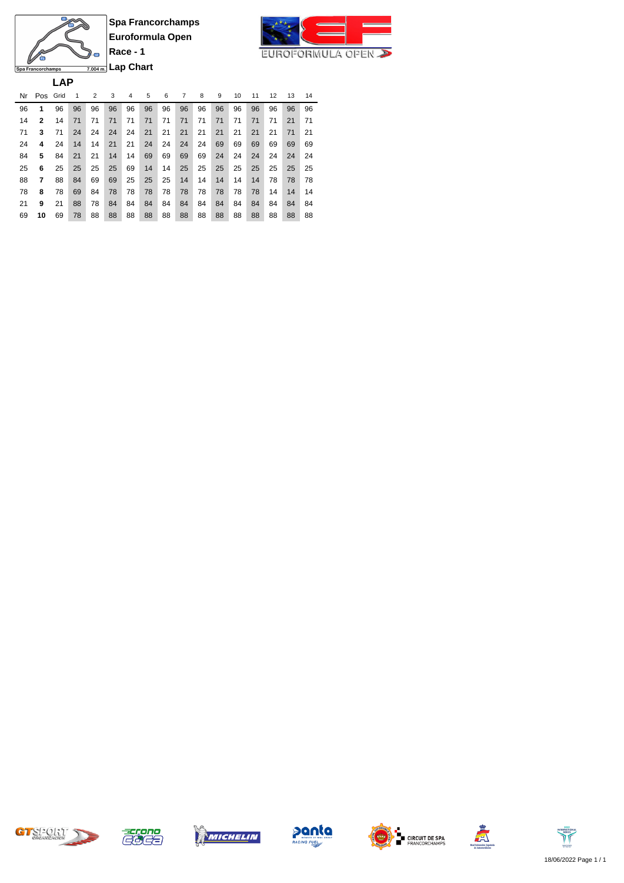

**Lap Chart** Spa Francorchamps **LAP**

 $\bullet$ 

 $\overline{\mathbf{u}}$ 衙

| Nr | Pos Grid |    | 1  | 2  | 3  | 4  | 5  | 6  | 7  | 8  | 9  | 10 | 11 | 12 | 13 | 14 |
|----|----------|----|----|----|----|----|----|----|----|----|----|----|----|----|----|----|
| 96 | 1        | 96 | 96 | 96 | 96 | 96 | 96 | 96 | 96 | 96 | 96 | 96 | 96 | 96 | 96 | 96 |
| 14 | 2        | 14 | 71 | 71 | 71 | 71 | 71 | 71 | 71 | 71 | 71 | 71 | 71 | 71 | 21 | 71 |
| 71 | 3        | 71 | 24 | 24 | 24 | 24 | 21 | 21 | 21 | 21 | 21 | 21 | 21 | 21 | 71 | 21 |
| 24 | 4        | 24 | 14 | 14 | 21 | 21 | 24 | 24 | 24 | 24 | 69 | 69 | 69 | 69 | 69 | 69 |
| 84 | 5        | 84 | 21 | 21 | 14 | 14 | 69 | 69 | 69 | 69 | 24 | 24 | 24 | 24 | 24 | 24 |
| 25 | 6        | 25 | 25 | 25 | 25 | 69 | 14 | 14 | 25 | 25 | 25 | 25 | 25 | 25 | 25 | 25 |
| 88 | 7        | 88 | 84 | 69 | 69 | 25 | 25 | 25 | 14 | 14 | 14 | 14 | 14 | 78 | 78 | 78 |
| 78 | 8        | 78 | 69 | 84 | 78 | 78 | 78 | 78 | 78 | 78 | 78 | 78 | 78 | 14 | 14 | 14 |
| 21 | 9        | 21 | 88 | 78 | 84 | 84 | 84 | 84 | 84 | 84 | 84 | 84 | 84 | 84 | 84 | 84 |
| 69 | 10       | 69 | 78 | 88 | 88 | 88 | 88 | 88 | 88 | 88 | 88 | 88 | 88 | 88 | 88 | 88 |











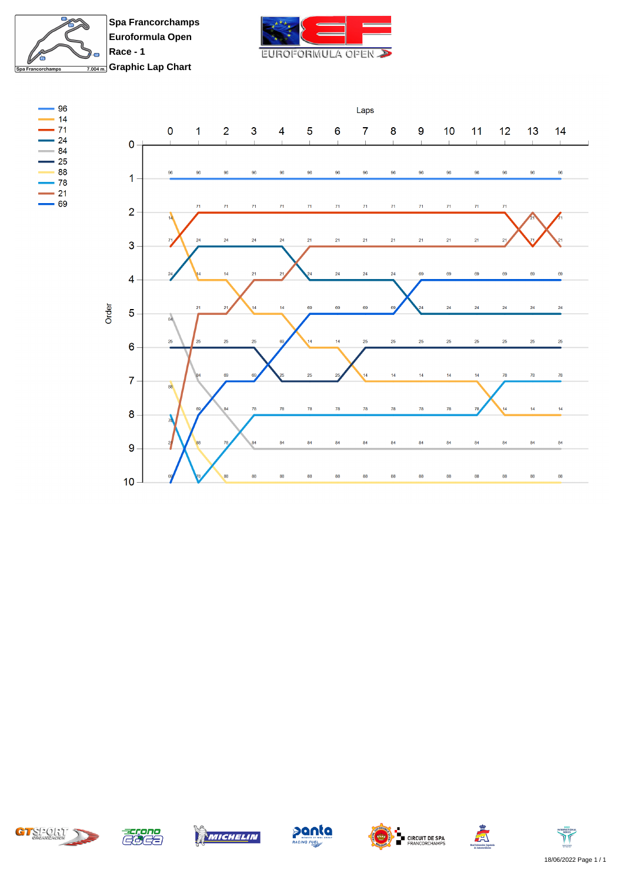

**Spa Francorchamps Euroformula Open Race - 1 Graphic Lap Chart** 



















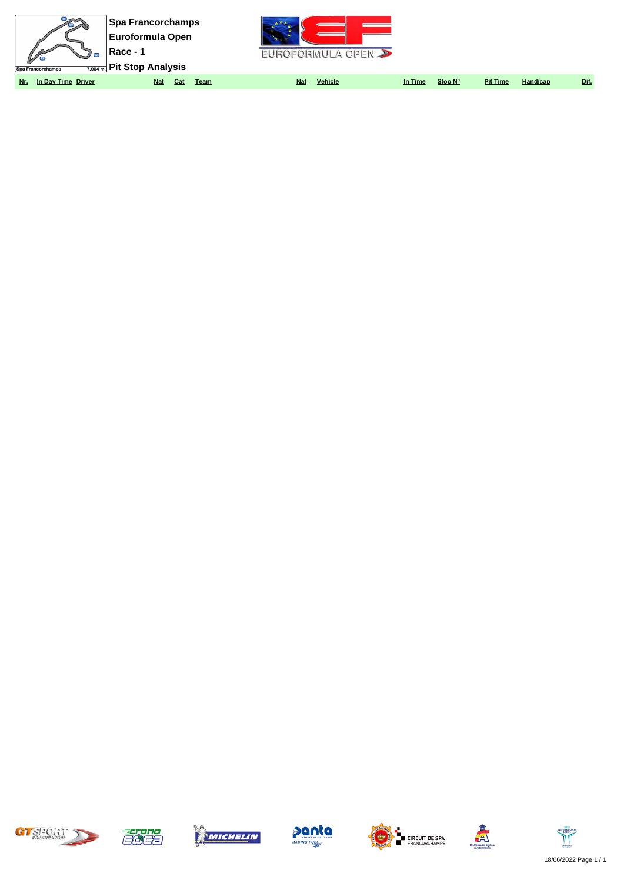| $\overline{V}$<br>Spa Francorchamps | <b>Spa Francorchamps</b><br><b>Euroformula Open</b><br>∣Race - 1<br>$\frac{1}{7.004 \text{ m}}$ Pit Stop Analysis | $\overline{\phantom{a}}$<br>EUROFORMULA OPEN $\sum$ |         |         |                 |          |             |
|-------------------------------------|-------------------------------------------------------------------------------------------------------------------|-----------------------------------------------------|---------|---------|-----------------|----------|-------------|
| In Day Time Driver<br>Nr.           | <b>Nat</b><br>Cat<br><u>Team</u>                                                                                  | <b>Vehicle</b><br><b>Nat</b>                        | In Time | Stop N° | <b>Pit Time</b> | Handicap | <u>Dif.</u> |